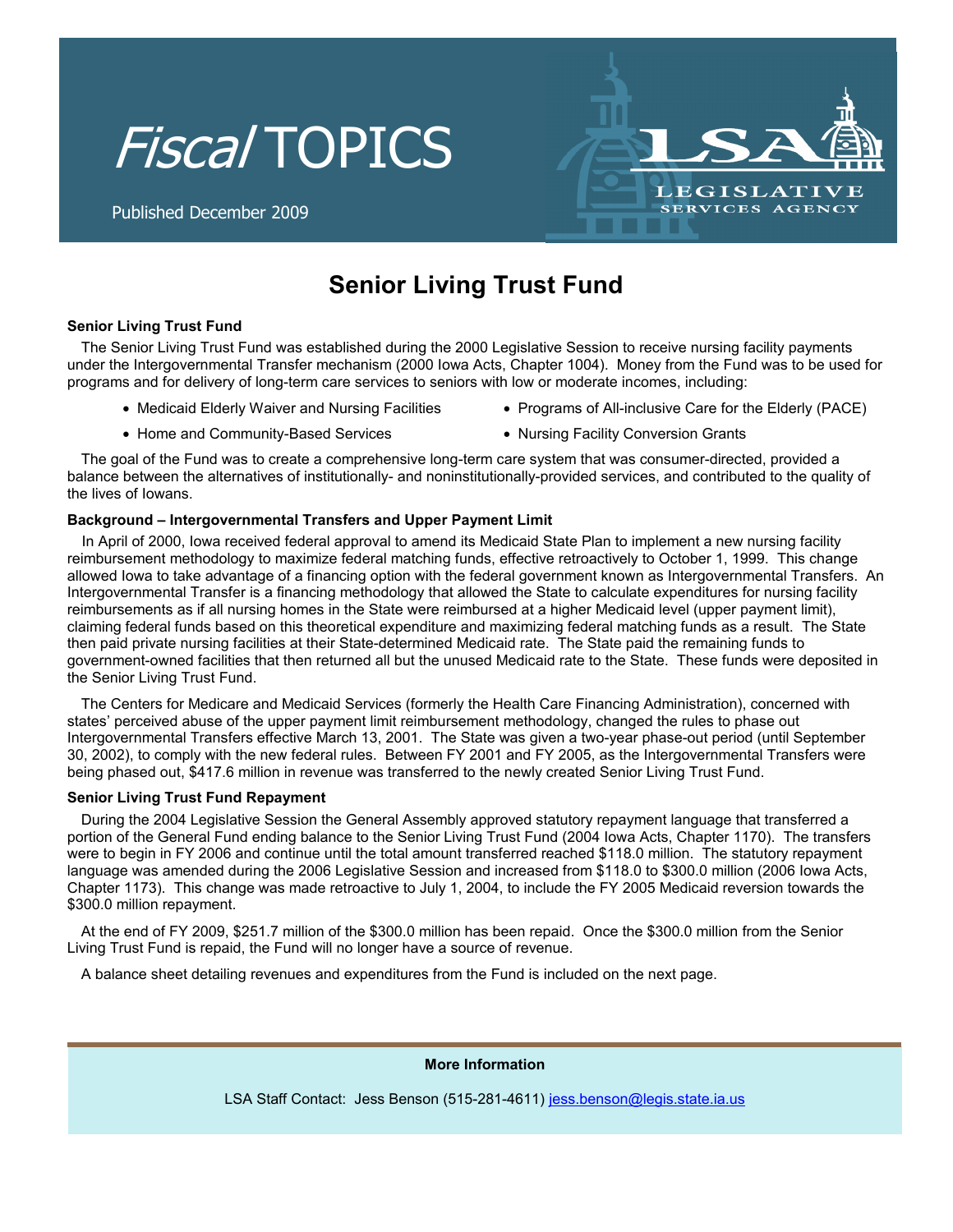# Fiscal TOPICS



Published December 2009

## **Senior Living Trust Fund**

### **Senior Living Trust Fund**

The Senior Living Trust Fund was established during the 2000 Legislative Session to receive nursing facility payments under the Intergovernmental Transfer mechanism (2000 Iowa Acts, Chapter 1004). Money from the Fund was to be used for programs and for delivery of long-term care services to seniors with low or moderate incomes, including:

- Medicaid Elderly Waiver and Nursing Facilities
- Programs of All-inclusive Care for the Elderly (PACE)
- Home and Community-Based Services
- Nursing Facility Conversion Grants

The goal of the Fund was to create a comprehensive long-term care system that was consumer-directed, provided a balance between the alternatives of institutionally- and noninstitutionally-provided services, and contributed to the quality of the lives of Iowans.

### **Background – Intergovernmental Transfers and Upper Payment Limit**

In April of 2000, Iowa received federal approval to amend its Medicaid State Plan to implement a new nursing facility reimbursement methodology to maximize federal matching funds, effective retroactively to October 1, 1999. This change allowed Iowa to take advantage of a financing option with the federal government known as Intergovernmental Transfers. An Intergovernmental Transfer is a financing methodology that allowed the State to calculate expenditures for nursing facility reimbursements as if all nursing homes in the State were reimbursed at a higher Medicaid level (upper payment limit), claiming federal funds based on this theoretical expenditure and maximizing federal matching funds as a result. The State then paid private nursing facilities at their State-determined Medicaid rate. The State paid the remaining funds to government-owned facilities that then returned all but the unused Medicaid rate to the State. These funds were deposited in the Senior Living Trust Fund.

The Centers for Medicare and Medicaid Services (formerly the Health Care Financing Administration), concerned with states' perceived abuse of the upper payment limit reimbursement methodology, changed the rules to phase out Intergovernmental Transfers effective March 13, 2001. The State was given a two-year phase-out period (until September 30, 2002), to comply with the new federal rules. Between FY 2001 and FY 2005, as the Intergovernmental Transfers were being phased out, \$417.6 million in revenue was transferred to the newly created Senior Living Trust Fund.

#### **Senior Living Trust Fund Repayment**

During the 2004 Legislative Session the General Assembly approved statutory repayment language that transferred a portion of the General Fund ending balance to the Senior Living Trust Fund (2004 Iowa Acts, Chapter 1170). The transfers were to begin in FY 2006 and continue until the total amount transferred reached \$118.0 million. The statutory repayment language was amended during the 2006 Legislative Session and increased from \$118.0 to \$300.0 million (2006 Iowa Acts, Chapter 1173). This change was made retroactive to July 1, 2004, to include the FY 2005 Medicaid reversion towards the \$300.0 million repayment.

At the end of FY 2009, \$251.7 million of the \$300.0 million has been repaid. Once the \$300.0 million from the Senior Living Trust Fund is repaid, the Fund will no longer have a source of revenue.

A balance sheet detailing revenues and expenditures from the Fund is included on the next page.

**More Information** 

LSA Staff Contact: Jess Benson (515-281-4611) jess.benson@legis.state.ia.us